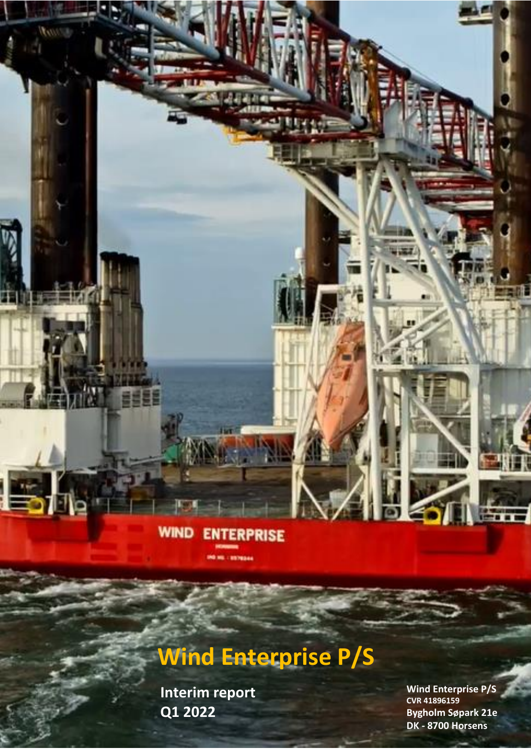## **WIND ENTERPRISE MAIL ENTREAL**

**INTERIM REPORT Q1 2022**

Wind Enterprise P/S

# **Wind Enterprise P/S**

 $Q1 2022$  By  $Byg$ **Interim report** 

**Wind Enterprise P/S CVR 41896159 Bygholm Søpark 21e DK - 8700 Horsens**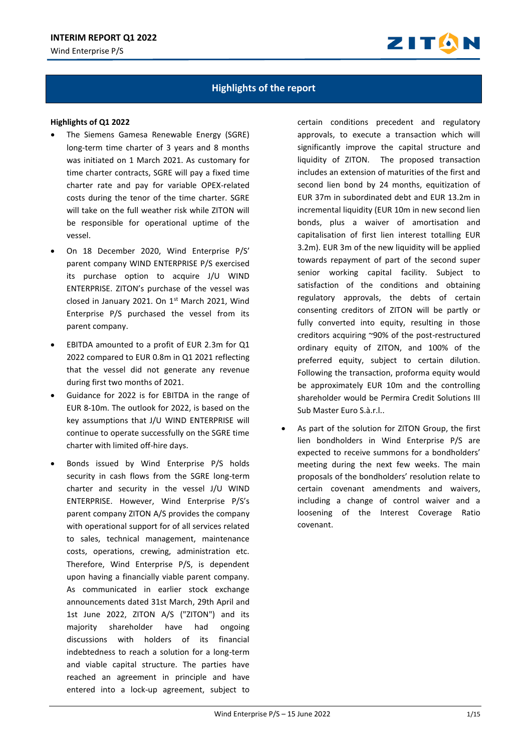

## **Highlights of the report**

#### **Highlights of Q1 2022**

- The Siemens Gamesa Renewable Energy (SGRE) long-term time charter of 3 years and 8 months was initiated on 1 March 2021. As customary for time charter contracts, SGRE will pay a fixed time charter rate and pay for variable OPEX-related costs during the tenor of the time charter. SGRE will take on the full weather risk while ZITON will be responsible for operational uptime of the vessel.
- On 18 December 2020, Wind Enterprise P/S' parent company WIND ENTERPRISE P/S exercised its purchase option to acquire J/U WIND ENTERPRISE. ZITON's purchase of the vessel was closed in January 2021. On 1st March 2021, Wind Enterprise P/S purchased the vessel from its parent company.
- EBITDA amounted to a profit of EUR 2.3m for Q1 2022 compared to EUR 0.8m in Q1 2021 reflecting that the vessel did not generate any revenue during first two months of 2021.
- Guidance for 2022 is for EBITDA in the range of EUR 8-10m. The outlook for 2022, is based on the key assumptions that J/U WIND ENTERPRISE will continue to operate successfully on the SGRE time charter with limited off-hire days.
- Bonds issued by Wind Enterprise P/S holds security in cash flows from the SGRE long-term charter and security in the vessel J/U WIND ENTERPRISE. However, Wind Enterprise P/S's parent company ZITON A/S provides the company with operational support for of all services related to sales, technical management, maintenance costs, operations, crewing, administration etc. Therefore, Wind Enterprise P/S, is dependent upon having a financially viable parent company. As communicated in earlier stock exchange announcements dated 31st March, 29th April and 1st June 2022, ZITON A/S ("ZITON") and its majority shareholder have had ongoing discussions with holders of its financial indebtedness to reach a solution for a long-term and viable capital structure. The parties have reached an agreement in principle and have entered into a lock-up agreement, subject to

certain conditions precedent and regulatory approvals, to execute a transaction which will significantly improve the capital structure and liquidity of ZITON. The proposed transaction includes an extension of maturities of the first and second lien bond by 24 months, equitization of EUR 37m in subordinated debt and EUR 13.2m in incremental liquidity (EUR 10m in new second lien bonds, plus a waiver of amortisation and capitalisation of first lien interest totalling EUR 3.2m). EUR 3m of the new liquidity will be applied towards repayment of part of the second super senior working capital facility. Subject to satisfaction of the conditions and obtaining regulatory approvals, the debts of certain consenting creditors of ZITON will be partly or fully converted into equity, resulting in those creditors acquiring ~90% of the post-restructured ordinary equity of ZITON, and 100% of the preferred equity, subject to certain dilution. Following the transaction, proforma equity would be approximately EUR 10m and the controlling shareholder would be Permira Credit Solutions III Sub Master Euro S.à.r.l..

As part of the solution for ZITON Group, the first lien bondholders in Wind Enterprise P/S are expected to receive summons for a bondholders' meeting during the next few weeks. The main proposals of the bondholders' resolution relate to certain covenant amendments and waivers, including a change of control waiver and a loosening of the Interest Coverage Ratio covenant.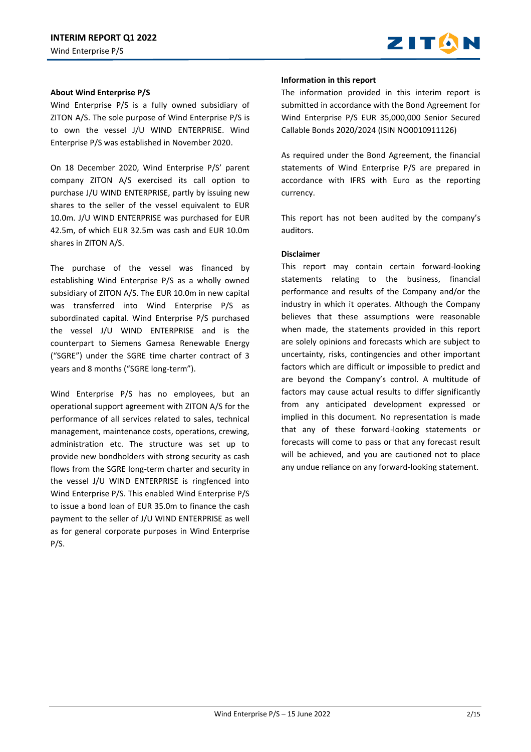

## **About Wind Enterprise P/S**

Wind Enterprise P/S is a fully owned subsidiary of ZITON A/S. The sole purpose of Wind Enterprise P/S is to own the vessel J/U WIND ENTERPRISE. Wind Enterprise P/S was established in November 2020.

On 18 December 2020, Wind Enterprise P/S' parent company ZITON A/S exercised its call option to purchase J/U WIND ENTERPRISE, partly by issuing new shares to the seller of the vessel equivalent to EUR 10.0m. J/U WIND ENTERPRISE was purchased for EUR 42.5m, of which EUR 32.5m was cash and EUR 10.0m shares in ZITON A/S.

The purchase of the vessel was financed by establishing Wind Enterprise P/S as a wholly owned subsidiary of ZITON A/S. The EUR 10.0m in new capital was transferred into Wind Enterprise P/S as subordinated capital. Wind Enterprise P/S purchased the vessel J/U WIND ENTERPRISE and is the counterpart to Siemens Gamesa Renewable Energy ("SGRE") under the SGRE time charter contract of 3 years and 8 months ("SGRE long-term").

Wind Enterprise P/S has no employees, but an operational support agreement with ZITON A/S for the performance of all services related to sales, technical management, maintenance costs, operations, crewing, administration etc. The structure was set up to provide new bondholders with strong security as cash flows from the SGRE long-term charter and security in the vessel J/U WIND ENTERPRISE is ringfenced into Wind Enterprise P/S. This enabled Wind Enterprise P/S to issue a bond loan of EUR 35.0m to finance the cash payment to the seller of J/U WIND ENTERPRISE as well as for general corporate purposes in Wind Enterprise P/S.

#### **Information in this report**

The information provided in this interim report is submitted in accordance with the Bond Agreement for Wind Enterprise P/S EUR 35,000,000 Senior Secured Callable Bonds 2020/2024 (ISIN NO0010911126)

As required under the Bond Agreement, the financial statements of Wind Enterprise P/S are prepared in accordance with IFRS with Euro as the reporting currency.

This report has not been audited by the company's auditors.

## **Disclaimer**

This report may contain certain forward-looking statements relating to the business, financial performance and results of the Company and/or the industry in which it operates. Although the Company believes that these assumptions were reasonable when made, the statements provided in this report are solely opinions and forecasts which are subject to uncertainty, risks, contingencies and other important factors which are difficult or impossible to predict and are beyond the Company's control. A multitude of factors may cause actual results to differ significantly from any anticipated development expressed or implied in this document. No representation is made that any of these forward-looking statements or forecasts will come to pass or that any forecast result will be achieved, and you are cautioned not to place any undue reliance on any forward-looking statement.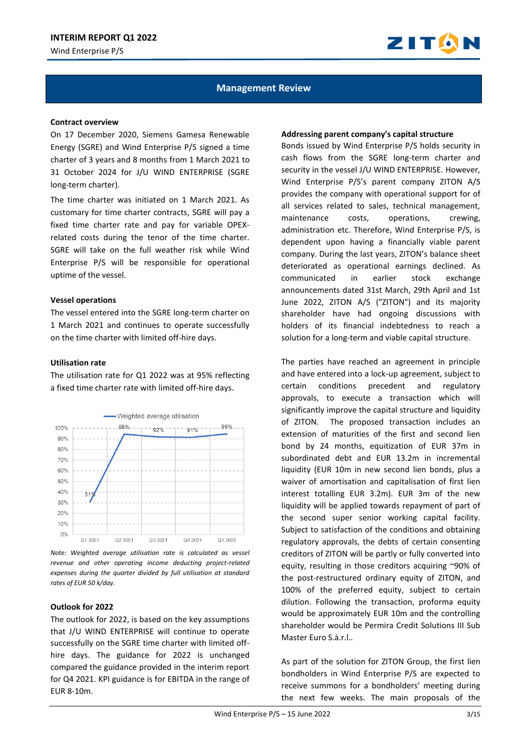

## **Management Review**

#### **Contract overview**

On 17 December 2020, Siemens Gamesa Renewable Energy (SGRE) and Wind Enterprise P/S signed a time charter of 3 years and 8 months from 1 March 2021 to 31 October 2024 for J/U WIND ENTERPRISE (SGRE long-term charter).

The time charter was initiated on 1 March 2021. As customary for time charter contracts, SGRE will pay a fixed time charter rate and pay for variable OPEXrelated costs during the tenor of the time charter. SGRE will take on the full weather risk while Wind Enterprise P/S will be responsible for operational uptime of the vessel.

#### **Vessel operations**

The vessel entered into the SGRE long-term charter on 1 March 2021 and continues to operate successfully on the time charter with limited off-hire days.

#### **Utilisation rate**

The utilisation rate for Q1 2022 was at 95% reflecting a fixed time charter rate with limited off-hire days.



*Note: Weighted average utilisation rate is calculated as vessel revenue and other operating income deducting project-related expenses during the quarter divided by full utilisation at standard rates of EUR 50 k/day.*

#### **Outlook for 2022**

The outlook for 2022, is based on the key assumptions that J/U WIND ENTERPRISE will continue to operate successfully on the SGRE time charter with limited offhire days. The guidance for 2022 is unchanged compared the guidance provided in the interim report for Q4 2021. KPI guidance is for EBITDA in the range of EUR 8-10m.

#### **Addressing parent company's capital structure**

Bonds issued by Wind Enterprise P/S holds security in cash flows from the SGRE long-term charter and security in the vessel J/U WIND ENTERPRISE. However, Wind Enterprise P/S's parent company ZITON A/S provides the company with operational support for of all services related to sales, technical management, maintenance costs, operations, crewing, administration etc. Therefore, Wind Enterprise P/S, is dependent upon having a financially viable parent company. During the last years, ZITON's balance sheet deteriorated as operational earnings declined. As communicated in earlier stock exchange announcements dated 31st March, 29th April and 1st June 2022, ZITON A/S ("ZITON") and its majority shareholder have had ongoing discussions with holders of its financial indebtedness to reach a solution for a long-term and viable capital structure.

The parties have reached an agreement in principle and have entered into a lock-up agreement, subject to certain conditions precedent and regulatory approvals, to execute a transaction which will significantly improve the capital structure and liquidity of ZITON. The proposed transaction includes an extension of maturities of the first and second lien bond by 24 months, equitization of EUR 37m in subordinated debt and EUR 13.2m in incremental liquidity (EUR 10m in new second lien bonds, plus a waiver of amortisation and capitalisation of first lien interest totalling EUR 3.2m). EUR 3m of the new liquidity will be applied towards repayment of part of the second super senior working capital facility. Subject to satisfaction of the conditions and obtaining regulatory approvals, the debts of certain consenting creditors of ZITON will be partly or fully converted into equity, resulting in those creditors acquiring ~90% of the post-restructured ordinary equity of ZITON, and 100% of the preferred equity, subject to certain dilution. Following the transaction, proforma equity would be approximately EUR 10m and the controlling shareholder would be Permira Credit Solutions III Sub Master Euro S.à.r.l..

As part of the solution for ZITON Group, the first lien bondholders in Wind Enterprise P/S are expected to receive summons for a bondholders' meeting during the next few weeks. The main proposals of the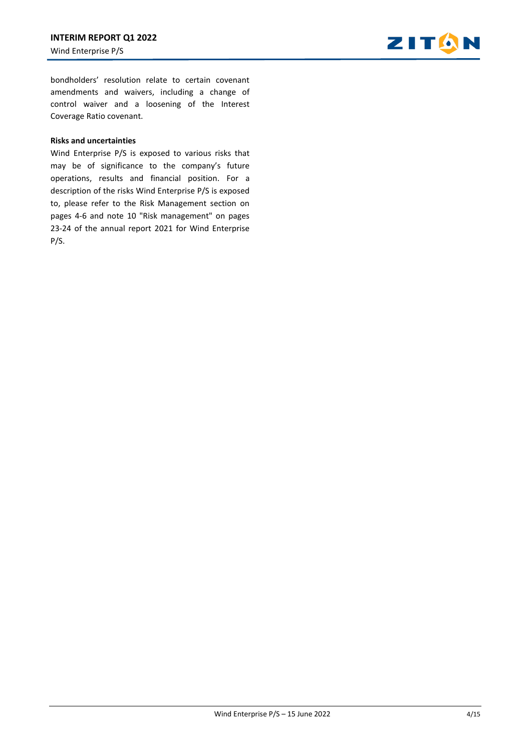

bondholders' resolution relate to certain covenant amendments and waivers, including a change of control waiver and a loosening of the Interest Coverage Ratio covenant.

#### **Risks and uncertainties**

Wind Enterprise P/S is exposed to various risks that may be of significance to the company's future operations, results and financial position. For a description of the risks Wind Enterprise P/S is exposed to, please refer to the Risk Management section on pages 4-6 and note 10 "Risk management" on pages 23-24 of the annual report 2021 for Wind Enterprise P/S.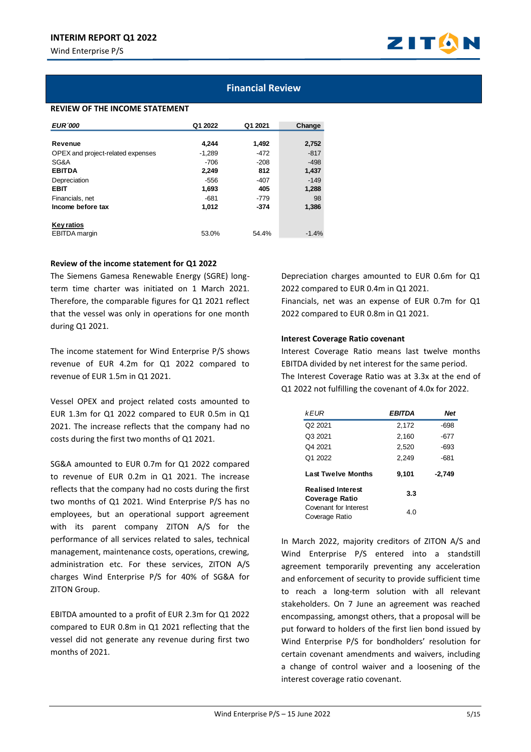

## **Financial Review**

## **REVIEW OF THE INCOME STATEMENT**

| <b>EUR'000</b>                    | Q1 2022  | Q1 2021 | Change  |
|-----------------------------------|----------|---------|---------|
|                                   |          |         |         |
| Revenue                           | 4.244    | 1,492   | 2,752   |
| OPEX and project-related expenses | $-1.289$ | -472    | $-817$  |
| SG&A                              | -706     | $-208$  | $-498$  |
| <b>EBITDA</b>                     | 2,249    | 812     | 1,437   |
| Depreciation                      | $-556$   | $-407$  | $-149$  |
| <b>EBIT</b>                       | 1,693    | 405     | 1,288   |
| Financials, net                   | $-681$   | $-779$  | 98      |
| Income before tax                 | 1.012    | -374    | 1,386   |
| <b>Key ratios</b>                 |          |         |         |
| <b>EBITDA</b> margin              | 53.0%    | 54.4%   | $-1.4%$ |

## **Review of the income statement for Q1 2022**

The Siemens Gamesa Renewable Energy (SGRE) longterm time charter was initiated on 1 March 2021. Therefore, the comparable figures for Q1 2021 reflect that the vessel was only in operations for one month during Q1 2021.

The income statement for Wind Enterprise P/S shows revenue of EUR 4.2m for Q1 2022 compared to revenue of EUR 1.5m in Q1 2021.

Vessel OPEX and project related costs amounted to EUR 1.3m for Q1 2022 compared to EUR 0.5m in Q1 2021. The increase reflects that the company had no costs during the first two months of Q1 2021.

SG&A amounted to EUR 0.7m for Q1 2022 compared to revenue of EUR 0.2m in Q1 2021. The increase reflects that the company had no costs during the first two months of Q1 2021. Wind Enterprise P/S has no employees, but an operational support agreement with its parent company ZITON A/S for the performance of all services related to sales, technical management, maintenance costs, operations, crewing, administration etc. For these services, ZITON A/S charges Wind Enterprise P/S for 40% of SG&A for ZITON Group.

EBITDA amounted to a profit of EUR 2.3m for Q1 2022 compared to EUR 0.8m in Q1 2021 reflecting that the vessel did not generate any revenue during first two months of 2021.

Depreciation charges amounted to EUR 0.6m for Q1 2022 compared to EUR 0.4m in Q1 2021. Financials, net was an expense of EUR 0.7m for Q1 2022 compared to EUR 0.8m in Q1 2021.

## **Interest Coverage Ratio covenant**

Interest Coverage Ratio means last twelve months EBITDA divided by net interest for the same period. The Interest Coverage Ratio was at 3.3x at the end of Q1 2022 not fulfilling the covenant of 4.0x for 2022.

| kEUR                                              | EBITDA | Net    |
|---------------------------------------------------|--------|--------|
| Q <sub>2</sub> 20 <sub>21</sub>                   | 2.172  | $-698$ |
| Q3 2021                                           | 2.160  | $-677$ |
| Q4 2021                                           | 2,520  | $-693$ |
| Q1 2022                                           | 2,249  | $-681$ |
| <b>Last Twelve Months</b>                         | 9,101  | -2.749 |
| <b>Realised Interest</b><br><b>Coverage Ratio</b> | 3.3    |        |
| Covenant for Interest<br>Coverage Ratio           | 4.0    |        |

In March 2022, majority creditors of ZITON A/S and Wind Enterprise P/S entered into a standstill agreement temporarily preventing any acceleration and enforcement of security to provide sufficient time to reach a long-term solution with all relevant stakeholders. On 7 June an agreement was reached encompassing, amongst others, that a proposal will be put forward to holders of the first lien bond issued by Wind Enterprise P/S for bondholders' resolution for certain covenant amendments and waivers, including a change of control waiver and a loosening of the interest coverage ratio covenant.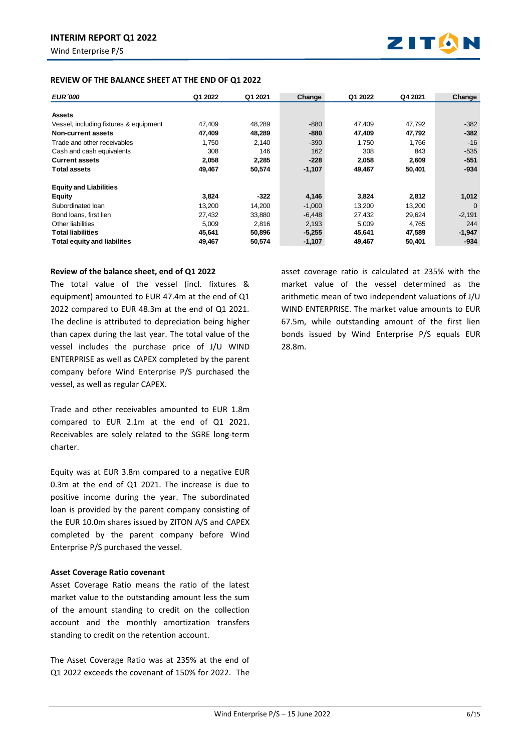

## **REVIEW OF THE BALANCE SHEET AT THE END OF Q1 2022**

| <b>EUR</b> 000                         | Q1 2022 | Q1 2021 | Change   | Q1 2022 | Q4 2021 | Change   |
|----------------------------------------|---------|---------|----------|---------|---------|----------|
|                                        |         |         |          |         |         |          |
| <b>Assets</b>                          |         |         |          |         |         |          |
| Vessel, including fixtures & equipment | 47,409  | 48,289  | $-880$   | 47,409  | 47,792  | $-382$   |
| Non-current assets                     | 47,409  | 48,289  | $-880$   | 47,409  | 47,792  | $-382$   |
| Trade and other receivables            | 1.750   | 2.140   | $-390$   | 1.750   | 1.766   | $-16$    |
| Cash and cash equivalents              | 308     | 146     | 162      | 308     | 843     | $-535$   |
| <b>Current assets</b>                  | 2,058   | 2,285   | $-228$   | 2,058   | 2,609   | $-551$   |
| <b>Total assets</b>                    | 49,467  | 50,574  | $-1,107$ | 49,467  | 50,401  | $-934$   |
| <b>Equity and Liabilities</b>          |         |         |          |         |         |          |
| <b>Equity</b>                          | 3,824   | $-322$  | 4,146    | 3,824   | 2,812   | 1,012    |
| Subordinated loan                      | 13,200  | 14.200  | $-1,000$ | 13,200  | 13,200  | $\Omega$ |
| Bond loans, first lien                 | 27,432  | 33.880  | $-6.448$ | 27.432  | 29.624  | $-2,191$ |
| Other liabilities                      | 5,009   | 2,816   | 2,193    | 5,009   | 4,765   | 244      |
| <b>Total liabilities</b>               | 45,641  | 50,896  | $-5,255$ | 45,641  | 47,589  | $-1,947$ |
| <b>Total equity and liabilites</b>     | 49,467  | 50,574  | $-1,107$ | 49,467  | 50,401  | -934     |

## **Review of the balance sheet, end of Q1 2022**

The total value of the vessel (incl. fixtures & equipment) amounted to EUR 47.4m at the end of Q1 2022 compared to EUR 48.3m at the end of Q1 2021. The decline is attributed to depreciation being higher than capex during the last year. The total value of the vessel includes the purchase price of J/U WIND ENTERPRISE as well as CAPEX completed by the parent company before Wind Enterprise P/S purchased the vessel, as well as regular CAPEX.

Trade and other receivables amounted to EUR 1.8m compared to EUR 2.1m at the end of Q1 2021. Receivables are solely related to the SGRE long-term charter.

Equity was at EUR 3.8m compared to a negative EUR 0.3m at the end of Q1 2021. The increase is due to positive income during the year. The subordinated loan is provided by the parent company consisting of the EUR 10.0m shares issued by ZITON A/S and CAPEX completed by the parent company before Wind Enterprise P/S purchased the vessel.

## **Asset Coverage Ratio covenant**

Asset Coverage Ratio means the ratio of the latest market value to the outstanding amount less the sum of the amount standing to credit on the collection account and the monthly amortization transfers standing to credit on the retention account.

The Asset Coverage Ratio was at 235% at the end of Q1 2022 exceeds the covenant of 150% for 2022. The asset coverage ratio is calculated at 235% with the market value of the vessel determined as the arithmetic mean of two independent valuations of J/U WIND ENTERPRISE. The market value amounts to EUR 67.5m, while outstanding amount of the first lien bonds issued by Wind Enterprise P/S equals EUR 28.8m.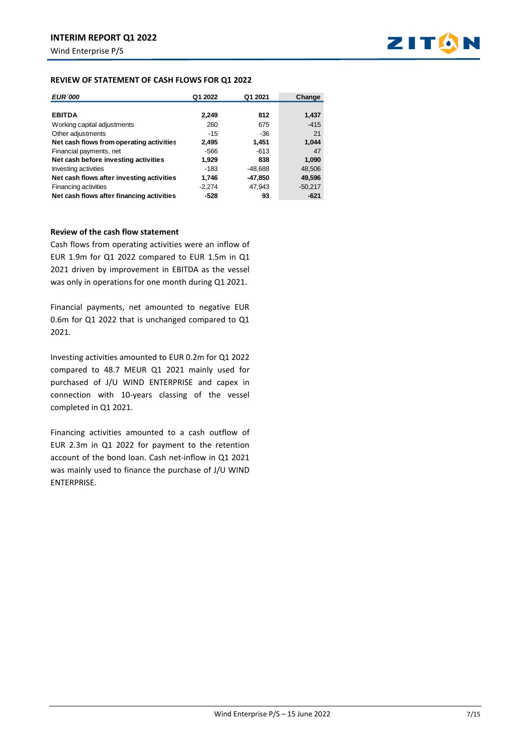

## **REVIEW OF STATEMENT OF CASH FLOWS FOR Q1 2022**

| <b>EUR'000</b>                            | Q1 2022  | Q1 2021   | Change    |
|-------------------------------------------|----------|-----------|-----------|
|                                           |          |           |           |
| <b>EBITDA</b>                             | 2,249    | 812       | 1,437     |
| Working capital adjustments               | 260      | 675       | $-415$    |
| Other adjustments                         | $-15$    | -36       | 21        |
| Net cash flows from operating activities  | 2,495    | 1,451     | 1,044     |
| Financial payments, net                   | -566     | -613      | 47        |
| Net cash before investing activities      | 1,929    | 838       | 1,090     |
| Investing activities                      | $-183$   | $-48,688$ | 48,506    |
| Net cash flows after investing activities | 1,746    | -47,850   | 49,596    |
| Financing activities                      | $-2,274$ | 47,943    | $-50,217$ |
| Net cash flows after financing activities | $-528$   | 93        | -621      |

## **Review of the cash flow statement**

Cash flows from operating activities were an inflow of EUR 1.9m for Q1 2022 compared to EUR 1.5m in Q1 2021 driven by improvement in EBITDA as the vessel was only in operations for one month during Q1 2021.

Financial payments, net amounted to negative EUR 0.6m for Q1 2022 that is unchanged compared to Q1 2021.

Investing activities amounted to EUR 0.2m for Q1 2022 compared to 48.7 MEUR Q1 2021 mainly used for purchased of J/U WIND ENTERPRISE and capex in connection with 10-years classing of the vessel completed in Q1 2021.

Financing activities amounted to a cash outflow of EUR 2.3m in Q1 2022 for payment to the retention account of the bond loan. Cash net-inflow in Q1 2021 was mainly used to finance the purchase of J/U WIND ENTERPRISE.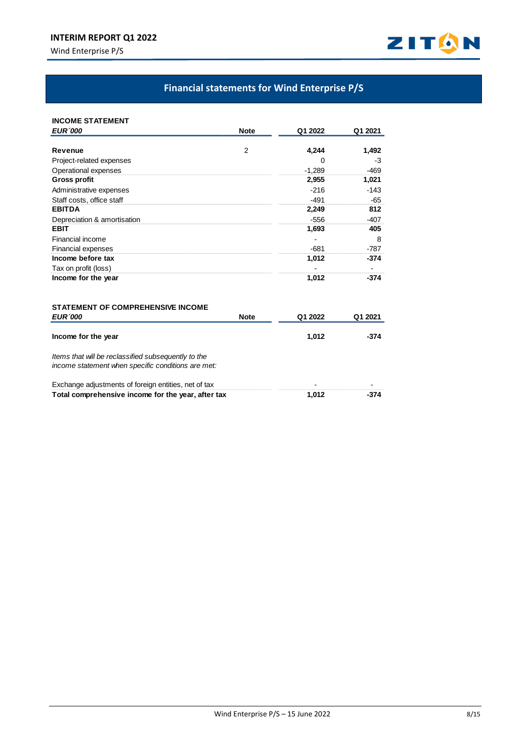## **INTERIM REPORT Q1 2022**

Wind Enterprise P/S



# **Financial statements for Wind Enterprise P/S**

| <b>INCOME STATEMENT</b>                              |             |          |         |
|------------------------------------------------------|-------------|----------|---------|
| <b>EUR</b> 000                                       | <b>Note</b> | Q1 2022  | Q1 2021 |
|                                                      |             |          |         |
| Revenue                                              | 2           | 4,244    | 1,492   |
| Project-related expenses                             |             | 0        | $-3$    |
| Operational expenses                                 |             | $-1.289$ | $-469$  |
| <b>Gross profit</b>                                  |             | 2,955    | 1,021   |
| Administrative expenses                              |             | $-216$   | $-143$  |
| Staff costs, office staff                            |             | $-491$   | $-65$   |
| <b>EBITDA</b>                                        |             | 2,249    | 812     |
| Depreciation & amortisation                          |             | $-556$   | $-407$  |
| <b>EBIT</b>                                          |             | 1,693    | 405     |
| Financial income                                     |             |          | 8       |
| <b>Financial expenses</b>                            |             | $-681$   | $-787$  |
| Income before tax                                    |             | 1,012    | $-374$  |
| Tax on profit (loss)                                 |             |          |         |
| Income for the year                                  |             | 1,012    | $-374$  |
| <b>STATEMENT OF COMPREHENSIVE INCOME</b>             |             |          |         |
| <b>EUR'000</b>                                       | <b>Note</b> | Q1 2022  | Q1 2021 |
| Income for the year                                  |             | 1,012    | $-374$  |
| Items that will be reclassified subsequently to the  |             |          |         |
| income statement when specific conditions are met:   |             |          |         |
| Exchange adjustments of foreign entities, net of tax |             |          |         |
| Total comprehensive income for the year, after tax   |             | 1,012    | $-374$  |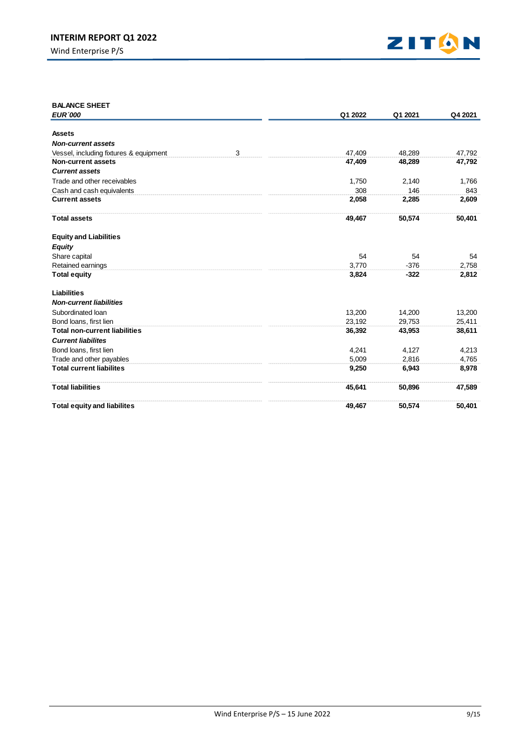

| <b>BALANCE SHEET</b>                                         |   |         |         |         |
|--------------------------------------------------------------|---|---------|---------|---------|
| <b>EUR</b> 000                                               |   | Q1 2022 | Q1 2021 | Q4 2021 |
| <b>Assets</b>                                                |   |         |         |         |
| <b>Non-current assets</b>                                    |   |         |         |         |
|                                                              |   |         |         |         |
| Vessel, including fixtures & equipment<br>Non-current assets | 3 | 47,409  | 48.289  | 47,792  |
| <b>Current assets</b>                                        |   | 47,409  | 48,289  | 47,792  |
|                                                              |   |         |         |         |
| Trade and other receivables                                  |   | 1,750   | 2,140   | 1,766   |
| Cash and cash equivalents                                    |   | 308     | 146     | 843     |
| <b>Current assets</b>                                        |   | 2,058   | 2,285   | 2,609   |
| <b>Total assets</b>                                          |   | 49,467  | 50,574  | 50,401  |
| <b>Equity and Liabilities</b>                                |   |         |         |         |
| <b>Equity</b>                                                |   |         |         |         |
| Share capital                                                |   | 54      | 54      | 54      |
| Retained earnings                                            |   | 3,770   | $-376$  | 2,758   |
| <b>Total equity</b>                                          |   | 3,824   | $-322$  | 2,812   |
| <b>Liabilities</b>                                           |   |         |         |         |
| <b>Non-current liabilities</b>                               |   |         |         |         |
| Subordinated Ioan                                            |   | 13,200  | 14,200  | 13,200  |
| Bond loans, first lien                                       |   | 23,192  | 29.753  | 25,411  |
| <b>Total non-current liabilities</b>                         |   | 36,392  | 43,953  | 38,611  |
| <b>Current liabilites</b>                                    |   |         |         |         |
| Bond loans, first lien                                       |   | 4,241   | 4,127   | 4,213   |
| Trade and other payables                                     |   | 5,009   | 2.816   | 4,765   |
| <b>Total current liabilites</b>                              |   | 9,250   | 6,943   | 8,978   |
| <b>Total liabilities</b>                                     |   | 45,641  | 50,896  | 47,589  |
| <b>Total equity and liabilites</b>                           |   | 49.467  | 50,574  | 50,401  |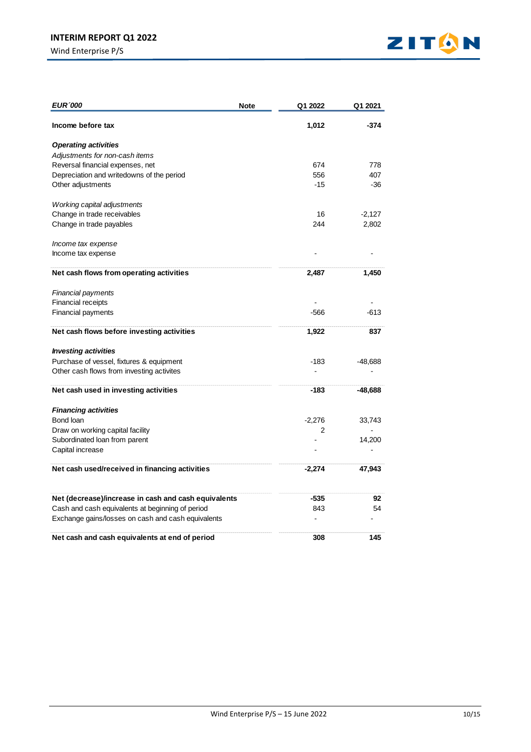

| <b>EUR '000</b>                                      | Note | Q1 2022        | Q1 2021   |
|------------------------------------------------------|------|----------------|-----------|
| Income before tax                                    |      | 1,012          | $-374$    |
| <b>Operating activities</b>                          |      |                |           |
| Adjustments for non-cash items                       |      |                |           |
| Reversal financial expenses, net                     |      | 674            | 778       |
| Depreciation and writedowns of the period            |      | 556            | 407       |
| Other adjustments                                    |      | $-15$          | -36       |
| Working capital adjustments                          |      |                |           |
| Change in trade receivables                          |      | 16             | $-2,127$  |
| Change in trade payables                             |      | 244            | 2,802     |
| Income tax expense                                   |      |                |           |
| Income tax expense                                   |      |                |           |
| Net cash flows from operating activities             |      | 2,487          | 1,450     |
| Financial payments                                   |      |                |           |
| <b>Financial receipts</b>                            |      |                |           |
| <b>Financial payments</b>                            |      | -566           | $-613$    |
| Net cash flows before investing activities           |      | 1,922          | 837       |
| <b>Investing activities</b>                          |      |                |           |
| Purchase of vessel, fixtures & equipment             |      | -183           | $-48,688$ |
| Other cash flows from investing activites            |      |                |           |
| Net cash used in investing activities                |      | -183           | -48,688   |
| <b>Financing activities</b>                          |      |                |           |
| Bond loan                                            |      | $-2,276$       | 33,743    |
| Draw on working capital facility                     |      | $\overline{2}$ |           |
| Subordinated loan from parent                        |      |                | 14,200    |
| Capital increase                                     |      |                |           |
| Net cash used/received in financing activities       |      | $-2,274$       | 47,943    |
| Net (decrease)/increase in cash and cash equivalents |      | -535           | 92        |
| Cash and cash equivalents at beginning of period     |      | 843            | 54        |
| Exchange gains/losses on cash and cash equivalents   |      | $\overline{a}$ |           |
| Net cash and cash equivalents at end of period       |      | 308            | 145       |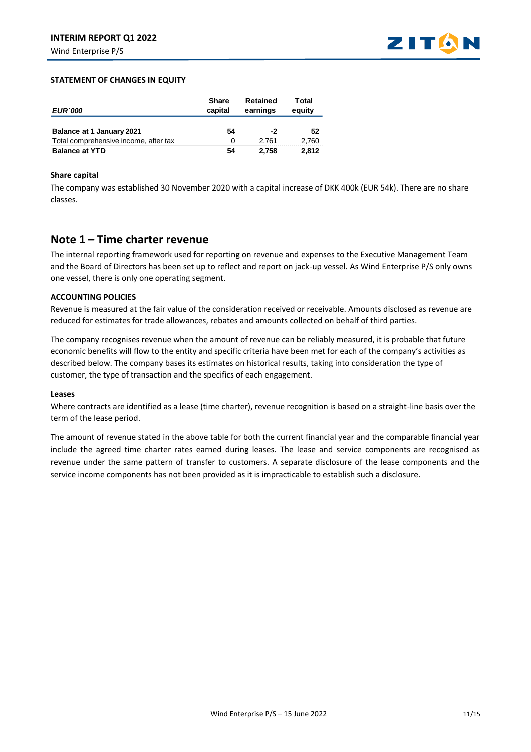

## **STATEMENT OF CHANGES IN EQUITY**

| <b>EUR</b> 000                        | <b>Share</b><br>capital | Retained<br>earnings | Total<br>equity |
|---------------------------------------|-------------------------|----------------------|-----------------|
| Balance at 1 January 2021             | 54                      | -2                   | 52              |
| Total comprehensive income, after tax | 0                       | 2.761                | 2.760           |
| <b>Balance at YTD</b>                 | 54                      | 2.758                | 2.812           |

## **Share capital**

The company was established 30 November 2020 with a capital increase of DKK 400k (EUR 54k). There are no share classes.

## **Note 1 – Time charter revenue**

The internal reporting framework used for reporting on revenue and expenses to the Executive Management Team and the Board of Directors has been set up to reflect and report on jack-up vessel. As Wind Enterprise P/S only owns one vessel, there is only one operating segment.

## **ACCOUNTING POLICIES**

Revenue is measured at the fair value of the consideration received or receivable. Amounts disclosed as revenue are reduced for estimates for trade allowances, rebates and amounts collected on behalf of third parties.

The company recognises revenue when the amount of revenue can be reliably measured, it is probable that future economic benefits will flow to the entity and specific criteria have been met for each of the company's activities as described below. The company bases its estimates on historical results, taking into consideration the type of customer, the type of transaction and the specifics of each engagement.

## **Leases**

Where contracts are identified as a lease (time charter), revenue recognition is based on a straight-line basis over the term of the lease period.

The amount of revenue stated in the above table for both the current financial year and the comparable financial year include the agreed time charter rates earned during leases. The lease and service components are recognised as revenue under the same pattern of transfer to customers. A separate disclosure of the lease components and the service income components has not been provided as it is impracticable to establish such a disclosure.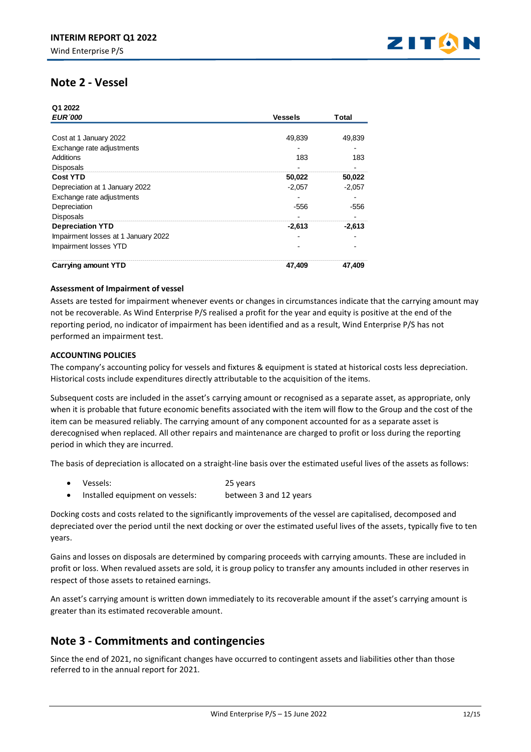

## **Note 2 - Vessel**

 $\overline{a}$  . . . . .

| Q1 2022                             |                |          |  |
|-------------------------------------|----------------|----------|--|
| <b>EUR'000</b>                      | <b>Vessels</b> | Total    |  |
|                                     |                |          |  |
| Cost at 1 January 2022              | 49,839         | 49,839   |  |
| Exchange rate adjustments           |                |          |  |
| Additions                           | 183            | 183      |  |
| <b>Disposals</b>                    |                |          |  |
| <b>Cost YTD</b>                     | 50,022         | 50,022   |  |
| Depreciation at 1 January 2022      | $-2,057$       | $-2,057$ |  |
| Exchange rate adjustments           |                |          |  |
| Depreciation                        | $-556$         | $-556$   |  |
| <b>Disposals</b>                    |                |          |  |
| <b>Depreciation YTD</b>             | $-2,613$       | $-2.613$ |  |
| Impairment losses at 1 January 2022 |                |          |  |
| Impairment losses YTD               |                |          |  |
| <b>Carrying amount YTD</b>          | 47.409         | 47.409   |  |

## **Assessment of Impairment of vessel**

Assets are tested for impairment whenever events or changes in circumstances indicate that the carrying amount may not be recoverable. As Wind Enterprise P/S realised a profit for the year and equity is positive at the end of the reporting period, no indicator of impairment has been identified and as a result, Wind Enterprise P/S has not performed an impairment test.

## **ACCOUNTING POLICIES**

The company's accounting policy for vessels and fixtures & equipment is stated at historical costs less depreciation. Historical costs include expenditures directly attributable to the acquisition of the items.

Subsequent costs are included in the asset's carrying amount or recognised as a separate asset, as appropriate, only when it is probable that future economic benefits associated with the item will flow to the Group and the cost of the item can be measured reliably. The carrying amount of any component accounted for as a separate asset is derecognised when replaced. All other repairs and maintenance are charged to profit or loss during the reporting period in which they are incurred.

The basis of depreciation is allocated on a straight-line basis over the estimated useful lives of the assets as follows:

- Vessels: 25 years
- Installed equipment on vessels: between 3 and 12 years

Docking costs and costs related to the significantly improvements of the vessel are capitalised, decomposed and depreciated over the period until the next docking or over the estimated useful lives of the assets, typically five to ten years.

Gains and losses on disposals are determined by comparing proceeds with carrying amounts. These are included in profit or loss. When revalued assets are sold, it is group policy to transfer any amounts included in other reserves in respect of those assets to retained earnings.

An asset's carrying amount is written down immediately to its recoverable amount if the asset's carrying amount is greater than its estimated recoverable amount.

## **Note 3 - Commitments and contingencies**

Since the end of 2021, no significant changes have occurred to contingent assets and liabilities other than those referred to in the annual report for 2021.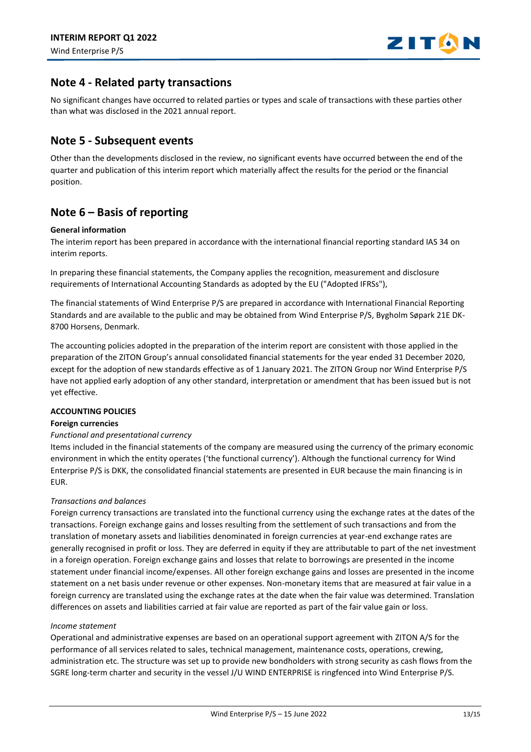

## **Note 4 - Related party transactions**

No significant changes have occurred to related parties or types and scale of transactions with these parties other than what was disclosed in the 2021 annual report.

## **Note 5 - Subsequent events**

Other than the developments disclosed in the review, no significant events have occurred between the end of the quarter and publication of this interim report which materially affect the results for the period or the financial position.

# **Note 6 – Basis of reporting**

## **General information**

The interim report has been prepared in accordance with the international financial reporting standard IAS 34 on interim reports.

In preparing these financial statements, the Company applies the recognition, measurement and disclosure requirements of International Accounting Standards as adopted by the EU ("Adopted IFRSs"),

The financial statements of Wind Enterprise P/S are prepared in accordance with International Financial Reporting Standards and are available to the public and may be obtained from Wind Enterprise P/S, Bygholm Søpark 21E DK-8700 Horsens, Denmark.

The accounting policies adopted in the preparation of the interim report are consistent with those applied in the preparation of the ZITON Group's annual consolidated financial statements for the year ended 31 December 2020, except for the adoption of new standards effective as of 1 January 2021. The ZITON Group nor Wind Enterprise P/S have not applied early adoption of any other standard, interpretation or amendment that has been issued but is not yet effective.

## **ACCOUNTING POLICIES**

## **Foreign currencies**

## *Functional and presentational currency*

Items included in the financial statements of the company are measured using the currency of the primary economic environment in which the entity operates ('the functional currency'). Although the functional currency for Wind Enterprise P/S is DKK, the consolidated financial statements are presented in EUR because the main financing is in EUR.

## *Transactions and balances*

Foreign currency transactions are translated into the functional currency using the exchange rates at the dates of the transactions. Foreign exchange gains and losses resulting from the settlement of such transactions and from the translation of monetary assets and liabilities denominated in foreign currencies at year-end exchange rates are generally recognised in profit or loss. They are deferred in equity if they are attributable to part of the net investment in a foreign operation. Foreign exchange gains and losses that relate to borrowings are presented in the income statement under financial income/expenses. All other foreign exchange gains and losses are presented in the income statement on a net basis under revenue or other expenses. Non-monetary items that are measured at fair value in a foreign currency are translated using the exchange rates at the date when the fair value was determined. Translation differences on assets and liabilities carried at fair value are reported as part of the fair value gain or loss.

## *Income statement*

Operational and administrative expenses are based on an operational support agreement with ZITON A/S for the performance of all services related to sales, technical management, maintenance costs, operations, crewing, administration etc. The structure was set up to provide new bondholders with strong security as cash flows from the SGRE long-term charter and security in the vessel J/U WIND ENTERPRISE is ringfenced into Wind Enterprise P/S.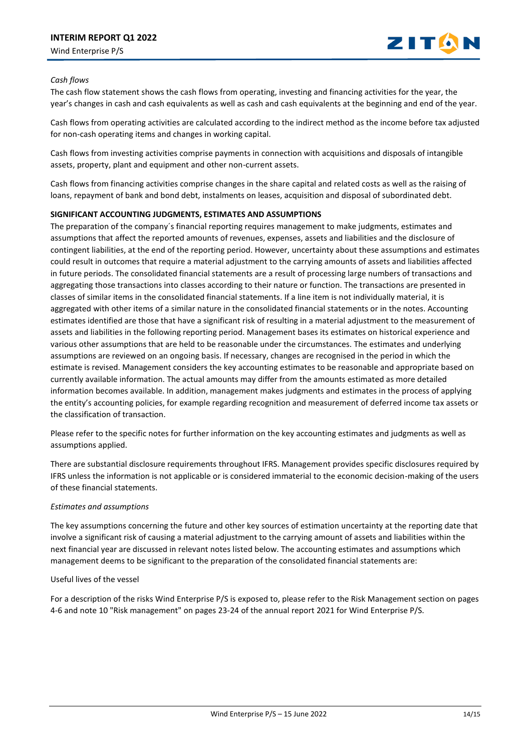

## *Cash flows*

The cash flow statement shows the cash flows from operating, investing and financing activities for the year, the year's changes in cash and cash equivalents as well as cash and cash equivalents at the beginning and end of the year.

Cash flows from operating activities are calculated according to the indirect method as the income before tax adjusted for non-cash operating items and changes in working capital.

Cash flows from investing activities comprise payments in connection with acquisitions and disposals of intangible assets, property, plant and equipment and other non-current assets.

Cash flows from financing activities comprise changes in the share capital and related costs as well as the raising of loans, repayment of bank and bond debt, instalments on leases, acquisition and disposal of subordinated debt.

## **SIGNIFICANT ACCOUNTING JUDGMENTS, ESTIMATES AND ASSUMPTIONS**

The preparation of the company´s financial reporting requires management to make judgments, estimates and assumptions that affect the reported amounts of revenues, expenses, assets and liabilities and the disclosure of contingent liabilities, at the end of the reporting period. However, uncertainty about these assumptions and estimates could result in outcomes that require a material adjustment to the carrying amounts of assets and liabilities affected in future periods. The consolidated financial statements are a result of processing large numbers of transactions and aggregating those transactions into classes according to their nature or function. The transactions are presented in classes of similar items in the consolidated financial statements. If a line item is not individually material, it is aggregated with other items of a similar nature in the consolidated financial statements or in the notes. Accounting estimates identified are those that have a significant risk of resulting in a material adjustment to the measurement of assets and liabilities in the following reporting period. Management bases its estimates on historical experience and various other assumptions that are held to be reasonable under the circumstances. The estimates and underlying assumptions are reviewed on an ongoing basis. If necessary, changes are recognised in the period in which the estimate is revised. Management considers the key accounting estimates to be reasonable and appropriate based on currently available information. The actual amounts may differ from the amounts estimated as more detailed information becomes available. In addition, management makes judgments and estimates in the process of applying the entity's accounting policies, for example regarding recognition and measurement of deferred income tax assets or the classification of transaction.

Please refer to the specific notes for further information on the key accounting estimates and judgments as well as assumptions applied.

There are substantial disclosure requirements throughout IFRS. Management provides specific disclosures required by IFRS unless the information is not applicable or is considered immaterial to the economic decision-making of the users of these financial statements.

## *Estimates and assumptions*

The key assumptions concerning the future and other key sources of estimation uncertainty at the reporting date that involve a significant risk of causing a material adjustment to the carrying amount of assets and liabilities within the next financial year are discussed in relevant notes listed below. The accounting estimates and assumptions which management deems to be significant to the preparation of the consolidated financial statements are:

## Useful lives of the vessel

For a description of the risks Wind Enterprise P/S is exposed to, please refer to the Risk Management section on pages 4-6 and note 10 "Risk management" on pages 23-24 of the annual report 2021 for Wind Enterprise P/S.